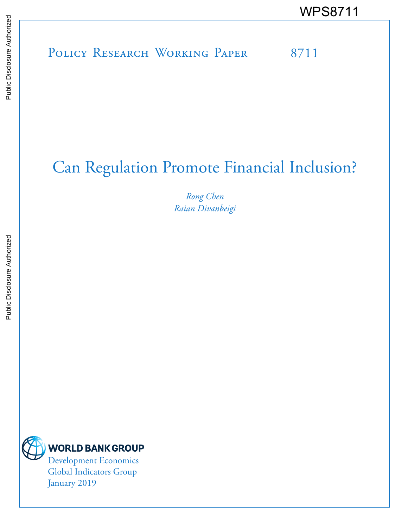# POLICY RESEARCH WORKING PAPER 8711 WPS8711<br>
Media<br>
Media<br>
Band<br>
Band<br>
Band<br>
Band<br>
Band<br>
Band<br>
Band<br>
Band<br>
Band<br>
Band<br>
Band<br>
Band<br>
Band<br>
Band<br>
Band<br>
Band<br>
Band<br>
Band<br>
Band<br>
Band<br>
Band<br>
Band<br>
Band<br>
Band<br>
Band<br>
Band<br>
Band<br>
Band<br>
Band<br>
Band<br>
Band<br>
Band<br>
Band<br>
B

## Can Regulation Promote Financial Inclusion?

*Rong Chen Raian Divanbeigi*



January 2019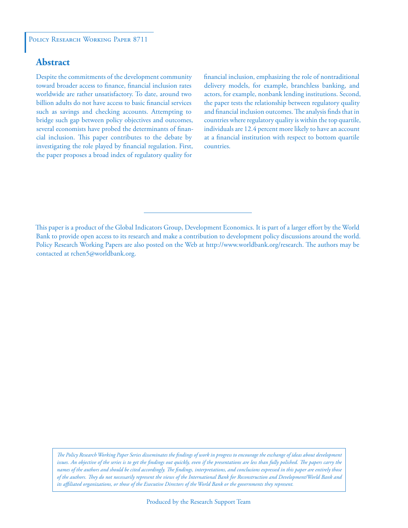#### **Abstract**

Despite the commitments of the development community toward broader access to finance, financial inclusion rates worldwide are rather unsatisfactory. To date, around two billion adults do not have access to basic financial services such as savings and checking accounts. Attempting to bridge such gap between policy objectives and outcomes, several economists have probed the determinants of financial inclusion. This paper contributes to the debate by investigating the role played by financial regulation. First, the paper proposes a broad index of regulatory quality for

financial inclusion, emphasizing the role of nontraditional delivery models, for example, branchless banking, and actors, for example, nonbank lending institutions. Second, the paper tests the relationship between regulatory quality and financial inclusion outcomes. The analysis finds that in countries where regulatory quality is within the top quartile, individuals are 12.4 percent more likely to have an account at a financial institution with respect to bottom quartile countries.

This paper is a product of the Global Indicators Group, Development Economics. It is part of a larger effort by the World Bank to provide open access to its research and make a contribution to development policy discussions around the world. Policy Research Working Papers are also posted on the Web at http://www.worldbank.org/research. The authors may be contacted at rchen5@worldbank.org.

*The Policy Research Working Paper Series disseminates the findings of work in progress to encourage the exchange of ideas about development*  issues. An objective of the series is to get the findings out quickly, even if the presentations are less than fully polished. The papers carry the *names of the authors and should be cited accordingly. The findings, interpretations, and conclusions expressed in this paper are entirely those of the authors. They do not necessarily represent the views of the International Bank for Reconstruction and Development/World Bank and its affiliated organizations, or those of the Executive Directors of the World Bank or the governments they represent.*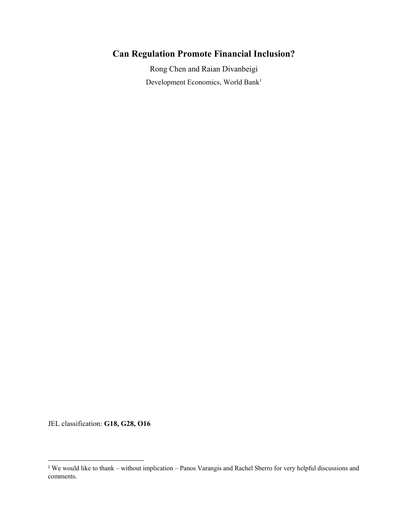### **Can Regulation Promote Financial Inclusion?**

Rong Chen and Raian Divanbeigi Development Economics, World Bank<sup>1</sup>

JEL classification: **G18, G28, O16**

<sup>1</sup> We would like to thank – without implication – Panos Varangis and Rachel Sberro for very helpful discussions and comments.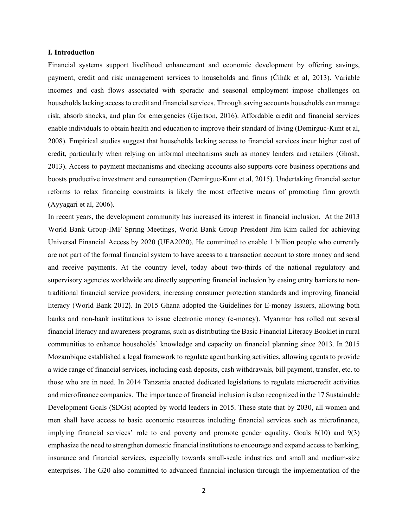#### **I. Introduction**

Financial systems support livelihood enhancement and economic development by offering savings, payment, credit and risk management services to households and firms (Čihák et al, 2013). Variable incomes and cash flows associated with sporadic and seasonal employment impose challenges on households lacking access to credit and financial services. Through saving accounts households can manage risk, absorb shocks, and plan for emergencies (Gjertson, 2016). Affordable credit and financial services enable individuals to obtain health and education to improve their standard of living (Demirguc-Kunt et al, 2008). Empirical studies suggest that households lacking access to financial services incur higher cost of credit, particularly when relying on informal mechanisms such as money lenders and retailers (Ghosh, 2013). Access to payment mechanisms and checking accounts also supports core business operations and boosts productive investment and consumption (Demirguc-Kunt et al, 2015). Undertaking financial sector reforms to relax financing constraints is likely the most effective means of promoting firm growth (Ayyagari et al, 2006).

In recent years, the development community has increased its interest in financial inclusion. At the 2013 World Bank Group-IMF Spring Meetings, World Bank Group President Jim Kim called for achieving Universal Financial Access by 2020 (UFA2020). He committed to enable 1 billion people who currently are not part of the formal financial system to have access to a transaction account to store money and send and receive payments. At the country level, today about two-thirds of the national regulatory and supervisory agencies worldwide are directly supporting financial inclusion by easing entry barriers to nontraditional financial service providers, increasing consumer protection standards and improving financial literacy (World Bank 2012). In 2015 Ghana adopted the Guidelines for E-money Issuers, allowing both banks and non-bank institutions to issue electronic money (e-money). Myanmar has rolled out several financial literacy and awareness programs, such as distributing the Basic Financial Literacy Booklet in rural communities to enhance households' knowledge and capacity on financial planning since 2013. In 2015 Mozambique established a legal framework to regulate agent banking activities, allowing agents to provide a wide range of financial services, including cash deposits, cash withdrawals, bill payment, transfer, etc. to those who are in need. In 2014 Tanzania enacted dedicated legislations to regulate microcredit activities and microfinance companies. The importance of financial inclusion is also recognized in the 17 Sustainable Development Goals (SDGs) adopted by world leaders in 2015. These state that by 2030, all women and men shall have access to basic economic resources including financial services such as microfinance, implying financial services' role to end poverty and promote gender equality. Goals 8(10) and 9(3) emphasize the need to strengthen domestic financial institutions to encourage and expand access to banking, insurance and financial services, especially towards small-scale industries and small and medium-size enterprises. The G20 also committed to advanced financial inclusion through the implementation of the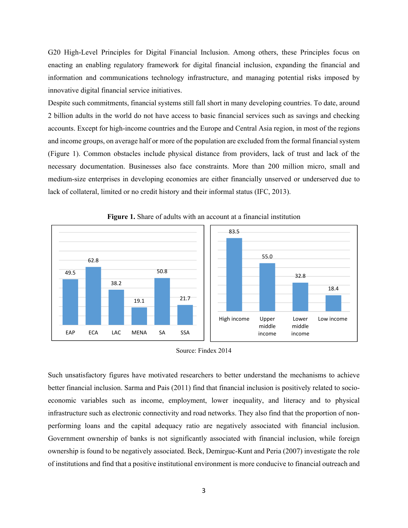G20 High-Level Principles for Digital Financial Inclusion. Among others, these Principles focus on enacting an enabling regulatory framework for digital financial inclusion, expanding the financial and information and communications technology infrastructure, and managing potential risks imposed by innovative digital financial service initiatives.

Despite such commitments, financial systems still fall short in many developing countries. To date, around 2 billion adults in the world do not have access to basic financial services such as savings and checking accounts. Except for high-income countries and the Europe and Central Asia region, in most of the regions and income groups, on average half or more of the population are excluded from the formal financial system (Figure 1). Common obstacles include physical distance from providers, lack of trust and lack of the necessary documentation. Businesses also face constraints. More than 200 million micro, small and medium-size enterprises in developing economies are either financially unserved or underserved due to lack of collateral, limited or no credit history and their informal status (IFC, 2013).



**Figure 1.** Share of adults with an account at a financial institution

Such unsatisfactory figures have motivated researchers to better understand the mechanisms to achieve better financial inclusion. Sarma and Pais (2011) find that financial inclusion is positively related to socioeconomic variables such as income, employment, lower inequality, and literacy and to physical infrastructure such as electronic connectivity and road networks. They also find that the proportion of nonperforming loans and the capital adequacy ratio are negatively associated with financial inclusion. Government ownership of banks is not significantly associated with financial inclusion, while foreign ownership is found to be negatively associated. Beck, Demirguc-Kunt and Peria (2007) investigate the role of institutions and find that a positive institutional environment is more conducive to financial outreach and

Source: Findex 2014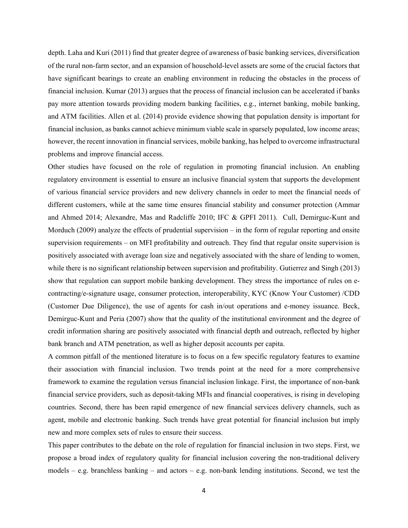depth. Laha and Kuri (2011) find that greater degree of awareness of basic banking services, diversification of the rural non-farm sector, and an expansion of household-level assets are some of the crucial factors that have significant bearings to create an enabling environment in reducing the obstacles in the process of financial inclusion. Kumar (2013) argues that the process of financial inclusion can be accelerated if banks pay more attention towards providing modern banking facilities, e.g., internet banking, mobile banking, and ATM facilities. Allen et al. (2014) provide evidence showing that population density is important for financial inclusion, as banks cannot achieve minimum viable scale in sparsely populated, low income areas; however, the recent innovation in financial services, mobile banking, has helped to overcome infrastructural problems and improve financial access.

Other studies have focused on the role of regulation in promoting financial inclusion. An enabling regulatory environment is essential to ensure an inclusive financial system that supports the development of various financial service providers and new delivery channels in order to meet the financial needs of different customers, while at the same time ensures financial stability and consumer protection (Ammar and Ahmed 2014; Alexandre, Mas and Radcliffe 2010; IFC & GPFI 2011). Cull, Demirguc-Kunt and Morduch (2009) analyze the effects of prudential supervision – in the form of regular reporting and onsite supervision requirements – on MFI profitability and outreach. They find that regular onsite supervision is positively associated with average loan size and negatively associated with the share of lending to women, while there is no significant relationship between supervision and profitability. Gutierrez and Singh (2013) show that regulation can support mobile banking development. They stress the importance of rules on econtracting/e-signature usage, consumer protection, interoperability, KYC (Know Your Customer) /CDD (Customer Due Diligence), the use of agents for cash in/out operations and e-money issuance. Beck, Demirguc-Kunt and Peria (2007) show that the quality of the institutional environment and the degree of credit information sharing are positively associated with financial depth and outreach, reflected by higher bank branch and ATM penetration, as well as higher deposit accounts per capita.

A common pitfall of the mentioned literature is to focus on a few specific regulatory features to examine their association with financial inclusion. Two trends point at the need for a more comprehensive framework to examine the regulation versus financial inclusion linkage. First, the importance of non-bank financial service providers, such as deposit-taking MFIs and financial cooperatives, is rising in developing countries. Second, there has been rapid emergence of new financial services delivery channels, such as agent, mobile and electronic banking. Such trends have great potential for financial inclusion but imply new and more complex sets of rules to ensure their success.

This paper contributes to the debate on the role of regulation for financial inclusion in two steps. First, we propose a broad index of regulatory quality for financial inclusion covering the non-traditional delivery models – e.g. branchless banking – and actors – e.g. non-bank lending institutions. Second, we test the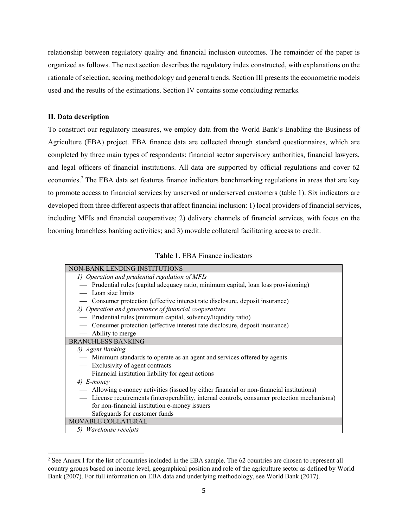relationship between regulatory quality and financial inclusion outcomes. The remainder of the paper is organized as follows. The next section describes the regulatory index constructed, with explanations on the rationale of selection, scoring methodology and general trends. Section III presents the econometric models used and the results of the estimations. Section IV contains some concluding remarks.

#### **II. Data description**

To construct our regulatory measures, we employ data from the World Bank's Enabling the Business of Agriculture (EBA) project. EBA finance data are collected through standard questionnaires, which are completed by three main types of respondents: financial sector supervisory authorities, financial lawyers, and legal officers of financial institutions. All data are supported by official regulations and cover 62 economies.<sup>2</sup> The EBA data set features finance indicators benchmarking regulations in areas that are key to promote access to financial services by unserved or underserved customers (table 1). Six indicators are developed from three different aspects that affect financial inclusion: 1) local providers of financial services, including MFIs and financial cooperatives; 2) delivery channels of financial services, with focus on the booming branchless banking activities; and 3) movable collateral facilitating access to credit.

| NON-BANK LENDING INSTITUTIONS                                                                |
|----------------------------------------------------------------------------------------------|
| 1) Operation and prudential regulation of MFIs                                               |
| — Prudential rules (capital adequacy ratio, minimum capital, loan loss provisioning)         |
| — Loan size limits                                                                           |
| — Consumer protection (effective interest rate disclosure, deposit insurance)                |
| 2) Operation and governance of financial cooperatives                                        |
| - Prudential rules (minimum capital, solvency/liquidity ratio)                               |
| — Consumer protection (effective interest rate disclosure, deposit insurance)                |
| — Ability to merge                                                                           |
| <b>BRANCHLESS BANKING</b>                                                                    |
| 3) Agent Banking                                                                             |
| — Minimum standards to operate as an agent and services offered by agents                    |
| - Exclusivity of agent contracts                                                             |
| - Financial institution liability for agent actions                                          |
| 4) E-money                                                                                   |
| — Allowing e-money activities (issued by either financial or non-financial institutions)     |
| — License requirements (interoperability, internal controls, consumer protection mechanisms) |
| for non-financial institution e-money issuers                                                |
| - Safeguards for customer funds                                                              |
| MOVABLE COLLATERAL                                                                           |
| 5) Warehouse receipts                                                                        |

<sup>&</sup>lt;sup>2</sup> See Annex I for the list of countries included in the EBA sample. The 62 countries are chosen to represent all country groups based on income level, geographical position and role of the agriculture sector as defined by World Bank (2007). For full information on EBA data and underlying methodology, see World Bank (2017).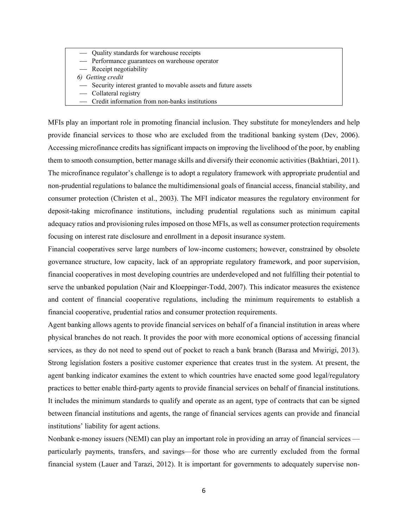- Quality standards for warehouse receipts
	- Performance guarantees on warehouse operator
- Receipt negotiability
- *6) Getting credit*
- Security interest granted to movable assets and future assets
- Collateral registry
- Credit information from non-banks institutions

MFIs play an important role in promoting financial inclusion. They substitute for moneylenders and help provide financial services to those who are excluded from the traditional banking system (Dev, 2006). Accessing microfinance credits has significant impacts on improving the livelihood of the poor, by enabling them to smooth consumption, better manage skills and diversify their economic activities (Bakhtiari, 2011). The microfinance regulator's challenge is to adopt a regulatory framework with appropriate prudential and non-prudential regulations to balance the multidimensional goals of financial access, financial stability, and consumer protection (Christen et al., 2003). The MFI indicator measures the regulatory environment for deposit-taking microfinance institutions, including prudential regulations such as minimum capital adequacy ratios and provisioning rules imposed on those MFIs, as well as consumer protection requirements focusing on interest rate disclosure and enrollment in a deposit insurance system.

Financial cooperatives serve large numbers of low-income customers; however, constrained by obsolete governance structure, low capacity, lack of an appropriate regulatory framework, and poor supervision, financial cooperatives in most developing countries are underdeveloped and not fulfilling their potential to serve the unbanked population (Nair and Kloeppinger-Todd, 2007). This indicator measures the existence and content of financial cooperative regulations, including the minimum requirements to establish a financial cooperative, prudential ratios and consumer protection requirements.

Agent banking allows agents to provide financial services on behalf of a financial institution in areas where physical branches do not reach. It provides the poor with more economical options of accessing financial services, as they do not need to spend out of pocket to reach a bank branch (Barasa and Mwirigi, 2013). Strong legislation fosters a positive customer experience that creates trust in the system. At present, the agent banking indicator examines the extent to which countries have enacted some good legal/regulatory practices to better enable third-party agents to provide financial services on behalf of financial institutions. It includes the minimum standards to qualify and operate as an agent, type of contracts that can be signed between financial institutions and agents, the range of financial services agents can provide and financial institutions' liability for agent actions.

Nonbank e-money issuers (NEMI) can play an important role in providing an array of financial services particularly payments, transfers, and savings—for those who are currently excluded from the formal financial system (Lauer and Tarazi, 2012). It is important for governments to adequately supervise non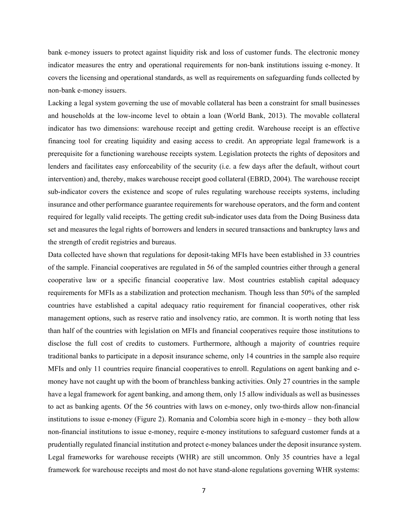bank e-money issuers to protect against liquidity risk and loss of customer funds. The electronic money indicator measures the entry and operational requirements for non-bank institutions issuing e-money. It covers the licensing and operational standards, as well as requirements on safeguarding funds collected by non-bank e-money issuers.

Lacking a legal system governing the use of movable collateral has been a constraint for small businesses and households at the low-income level to obtain a loan (World Bank, 2013). The movable collateral indicator has two dimensions: warehouse receipt and getting credit. Warehouse receipt is an effective financing tool for creating liquidity and easing access to credit. An appropriate legal framework is a prerequisite for a functioning warehouse receipts system. Legislation protects the rights of depositors and lenders and facilitates easy enforceability of the security (i.e. a few days after the default, without court intervention) and, thereby, makes warehouse receipt good collateral (EBRD, 2004). The warehouse receipt sub-indicator covers the existence and scope of rules regulating warehouse receipts systems, including insurance and other performance guarantee requirements for warehouse operators, and the form and content required for legally valid receipts. The getting credit sub-indicator uses data from the Doing Business data set and measures the legal rights of borrowers and lenders in secured transactions and bankruptcy laws and the strength of credit registries and bureaus.

Data collected have shown that regulations for deposit-taking MFIs have been established in 33 countries of the sample. Financial cooperatives are regulated in 56 of the sampled countries either through a general cooperative law or a specific financial cooperative law. Most countries establish capital adequacy requirements for MFIs as a stabilization and protection mechanism. Though less than 50% of the sampled countries have established a capital adequacy ratio requirement for financial cooperatives, other risk management options, such as reserve ratio and insolvency ratio, are common. It is worth noting that less than half of the countries with legislation on MFIs and financial cooperatives require those institutions to disclose the full cost of credits to customers. Furthermore, although a majority of countries require traditional banks to participate in a deposit insurance scheme, only 14 countries in the sample also require MFIs and only 11 countries require financial cooperatives to enroll. Regulations on agent banking and emoney have not caught up with the boom of branchless banking activities. Only 27 countries in the sample have a legal framework for agent banking, and among them, only 15 allow individuals as well as businesses to act as banking agents. Of the 56 countries with laws on e-money, only two-thirds allow non-financial institutions to issue e-money (Figure 2). Romania and Colombia score high in e-money – they both allow non-financial institutions to issue e-money, require e-money institutions to safeguard customer funds at a prudentially regulated financial institution and protect e-money balances under the deposit insurance system. Legal frameworks for warehouse receipts (WHR) are still uncommon. Only 35 countries have a legal framework for warehouse receipts and most do not have stand-alone regulations governing WHR systems: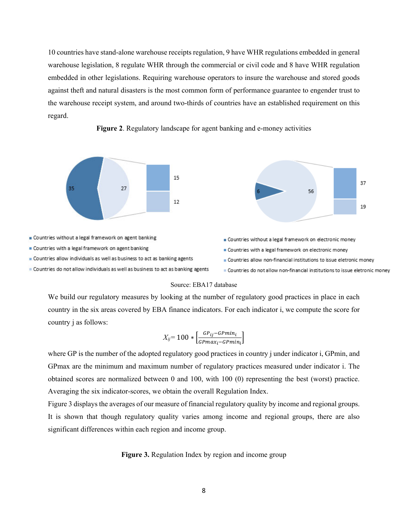10 countries have stand-alone warehouse receipts regulation, 9 have WHR regulations embedded in general warehouse legislation, 8 regulate WHR through the commercial or civil code and 8 have WHR regulation embedded in other legislations. Requiring warehouse operators to insure the warehouse and stored goods against theft and natural disasters is the most common form of performance guarantee to engender trust to the warehouse receipt system, and around two-thirds of countries have an established requirement on this regard.



#### **Figure 2**. Regulatory landscape for agent banking and e-money activities

#### Source: EBA17 database

We build our regulatory measures by looking at the number of regulatory good practices in place in each country in the six areas covered by EBA finance indicators. For each indicator i, we compute the score for country j as follows:

$$
X_{ij} = 100 * \left[ \frac{GP_{ij} - GPmin_i}{GPmax_i - GPmin_i} \right]
$$

where GP is the number of the adopted regulatory good practices in country j under indicator i, GPmin, and GPmax are the minimum and maximum number of regulatory practices measured under indicator i. The obtained scores are normalized between 0 and 100, with 100 (0) representing the best (worst) practice. Averaging the six indicator-scores, we obtain the overall Regulation Index.

Figure 3 displays the averages of our measure of financial regulatory quality by income and regional groups. It is shown that though regulatory quality varies among income and regional groups, there are also significant differences within each region and income group.

**Figure 3.** Regulation Index by region and income group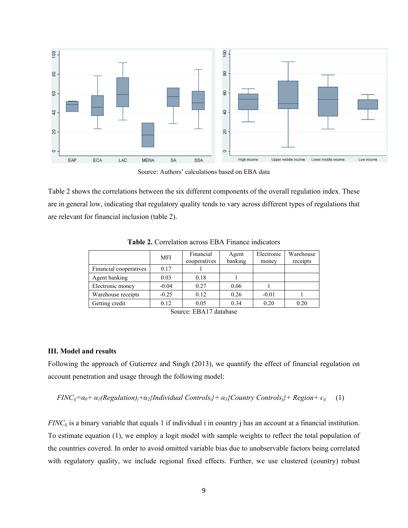

Source: Authors' calculations based on EBA data

Table 2 shows the correlations between the six different components of the overall regulation index. These are in general low, indicating that regulatory quality tends to vary across different types of regulations that are relevant for financial inclusion (table 2).

|                        | <b>MFI</b> | Financial<br>cooperatives | Agent<br>banking | Electronic | Warehouse<br>receipts |
|------------------------|------------|---------------------------|------------------|------------|-----------------------|
|                        |            |                           |                  | money      |                       |
| Financial cooperatives | 0.17       |                           |                  |            |                       |
| Agent banking          | 0.03       | 0.18                      |                  |            |                       |
| Electronic money       | $-0.04$    | 0.27                      | 0.06             |            |                       |
| Warehouse receipts     | $-0.25$    | 0.12                      | 0.26             | $-0.01$    |                       |
| Getting credit         | 0.12       | 0.05                      | 0.34             | 0.20       | 0.20                  |

**Table 2.** Correlation across EBA Finance indicators

Source: EBA17 database

#### **III. Model and results**

Following the approach of Gutierrez and Singh (2013), we quantify the effect of financial regulation on account penetration and usage through the following model:

*FINC<sub>ij</sub>*= $\alpha_0$ +  $\alpha_1$ (Regulation)<sub>i</sub>+ $\alpha_2$ {Individual Controls<sub>i</sub>}+  $\alpha_3$ {Country Controls<sub>i</sub>}+ Region+  $\epsilon_{ij}$  (1)

*FINC<sub>ij</sub>* is a binary variable that equals 1 if individual i in country j has an account at a financial institution. To estimate equation (1), we employ a logit model with sample weights to reflect the total population of the countries covered. In order to avoid omitted variable bias due to unobservable factors being correlated with regulatory quality, we include regional fixed effects. Further, we use clustered (country) robust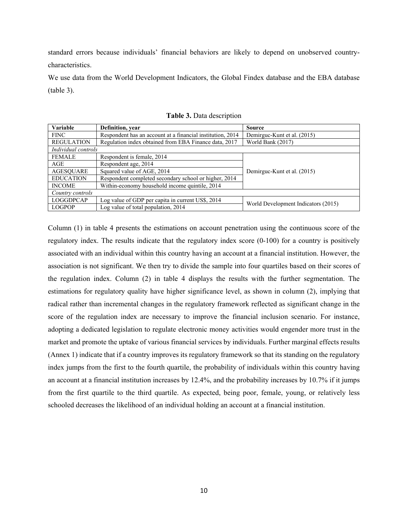standard errors because individuals' financial behaviors are likely to depend on unobserved countrycharacteristics.

We use data from the World Development Indicators, the Global Findex database and the EBA database (table 3).

| Variable            | Definition, year                                           | Source                              |  |
|---------------------|------------------------------------------------------------|-------------------------------------|--|
| <b>FINC</b>         | Respondent has an account at a financial institution, 2014 | Demirguc-Kunt et al. (2015)         |  |
| <b>REGULATION</b>   | Regulation index obtained from EBA Finance data, 2017      | World Bank (2017)                   |  |
| Individual controls |                                                            |                                     |  |
| <b>FEMALE</b>       | Respondent is female, 2014                                 |                                     |  |
| AGE                 | Respondent age, 2014                                       |                                     |  |
| <b>AGESQUARE</b>    | Squared value of AGE, 2014                                 | Demirguc-Kunt et al. (2015)         |  |
| <b>EDUCATION</b>    | Respondent completed secondary school or higher, 2014      |                                     |  |
| <b>INCOME</b>       | Within-economy household income quintile, 2014             |                                     |  |
| Country controls    |                                                            |                                     |  |
| <b>LOGGDPCAP</b>    | Log value of GDP per capita in current US\$, 2014          | World Development Indicators (2015) |  |
| <b>LOGPOP</b>       | Log value of total population, 2014                        |                                     |  |

**Table 3.** Data description

Column (1) in table 4 presents the estimations on account penetration using the continuous score of the regulatory index. The results indicate that the regulatory index score (0-100) for a country is positively associated with an individual within this country having an account at a financial institution. However, the association is not significant. We then try to divide the sample into four quartiles based on their scores of the regulation index. Column (2) in table 4 displays the results with the further segmentation. The estimations for regulatory quality have higher significance level, as shown in column (2), implying that radical rather than incremental changes in the regulatory framework reflected as significant change in the score of the regulation index are necessary to improve the financial inclusion scenario. For instance, adopting a dedicated legislation to regulate electronic money activities would engender more trust in the market and promote the uptake of various financial services by individuals. Further marginal effects results (Annex 1) indicate that if a country improves its regulatory framework so that its standing on the regulatory index jumps from the first to the fourth quartile, the probability of individuals within this country having an account at a financial institution increases by 12.4%, and the probability increases by 10.7% if it jumps from the first quartile to the third quartile. As expected, being poor, female, young, or relatively less schooled decreases the likelihood of an individual holding an account at a financial institution.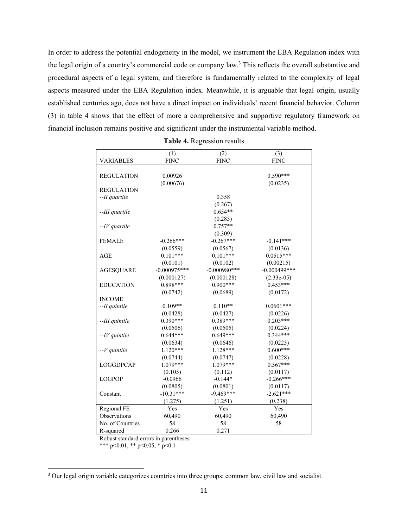In order to address the potential endogeneity in the model, we instrument the EBA Regulation index with the legal origin of a country's commercial code or company law.<sup>3</sup> This reflects the overall substantive and procedural aspects of a legal system, and therefore is fundamentally related to the complexity of legal aspects measured under the EBA Regulation index. Meanwhile, it is arguable that legal origin, usually established centuries ago, does not have a direct impact on individuals' recent financial behavior. Column (3) in table 4 shows that the effect of more a comprehensive and supportive regulatory framework on financial inclusion remains positive and significant under the instrumental variable method.

|                   | (1)            | (2)            | (3)             |
|-------------------|----------------|----------------|-----------------|
| VARIABLES         | <b>FINC</b>    | <b>FINC</b>    | <b>FINC</b>     |
|                   |                |                |                 |
| <b>REGULATION</b> | 0.00926        |                | $0.590***$      |
|                   | (0.00676)      |                | (0.0235)        |
| <b>REGULATION</b> |                |                |                 |
| --II quartile     |                | 0.358          |                 |
|                   |                | (0.267)        |                 |
| --III quartile    |                | $0.654**$      |                 |
|                   |                | (0.285)        |                 |
| --IV quartile     |                | $0.757**$      |                 |
|                   |                | (0.309)        |                 |
| <b>FEMALE</b>     | $-0.266***$    | $-0.267***$    | $-0.141***$     |
|                   | (0.0559)       | (0.0567)       | (0.0136)        |
| AGE               | $0.101***$     | $0.101***$     | $0.0515***$     |
|                   | (0.0101)       | (0.0102)       | (0.00215)       |
| <b>AGESQUARE</b>  | $-0.000975***$ | $-0.000980***$ | $-0.000499$ *** |
|                   | (0.000127)     | (0.000128)     | $(2.33e-05)$    |
| <b>EDUCATION</b>  | $0.898***$     | $0.900***$     | $0.453***$      |
|                   | (0.0742)       | (0.0689)       | (0.0172)        |
| <b>INCOME</b>     |                |                |                 |
| --II quintile     | $0.109**$      | $0.110**$      | $0.0601***$     |
|                   | (0.0428)       | (0.0427)       | (0.0226)        |
| --III quintile    | $0.390***$     | $0.389***$     | $0.203***$      |
|                   | (0.0506)       | (0.0505)       | (0.0224)        |
| $-IV$ quintile    | $0.644***$     | $0.649***$     | $0.344***$      |
|                   | (0.0634)       | (0.0646)       | (0.0223)        |
| $-V$ quintile     | $1.120***$     | $1.128***$     | $0.600***$      |
|                   | (0.0744)       | (0.0747)       | (0.0228)        |
| <b>LOGGDPCAP</b>  | $1.079***$     | $1.079***$     | $0.567***$      |
|                   | (0.105)        | (0.112)        | (0.0117)        |
| <b>LOGPOP</b>     | $-0.0966$      | $-0.144*$      | $-0.266***$     |
|                   | (0.0805)       | (0.0801)       | (0.0117)        |
| Constant          | $-10.31***$    | $-9.469***$    | $-2.621***$     |
|                   | (1.275)        | (1.251)        | (0.238)         |
| Regional FE       | Yes            | Yes            | Yes             |
| Observations      | 60,490         | 60,490         | 60,490          |
| No. of Countries  | 58             | 58             | 58              |
| R-squared         | 0.266          | 0.271          |                 |

**Table 4.** Regression results

Robust standard errors in parentheses

\*\*\* p<0.01, \*\* p<0.05, \* p<0.1

<sup>&</sup>lt;sup>3</sup> Our legal origin variable categorizes countries into three groups: common law, civil law and socialist.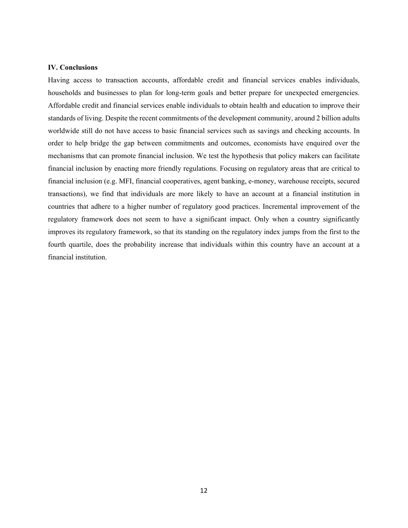#### **IV. Conclusions**

Having access to transaction accounts, affordable credit and financial services enables individuals, households and businesses to plan for long-term goals and better prepare for unexpected emergencies. Affordable credit and financial services enable individuals to obtain health and education to improve their standards of living. Despite the recent commitments of the development community, around 2 billion adults worldwide still do not have access to basic financial services such as savings and checking accounts. In order to help bridge the gap between commitments and outcomes, economists have enquired over the mechanisms that can promote financial inclusion. We test the hypothesis that policy makers can facilitate financial inclusion by enacting more friendly regulations. Focusing on regulatory areas that are critical to financial inclusion (e.g. MFI, financial cooperatives, agent banking, e-money, warehouse receipts, secured transactions), we find that individuals are more likely to have an account at a financial institution in countries that adhere to a higher number of regulatory good practices. Incremental improvement of the regulatory framework does not seem to have a significant impact. Only when a country significantly improves its regulatory framework, so that its standing on the regulatory index jumps from the first to the fourth quartile, does the probability increase that individuals within this country have an account at a financial institution.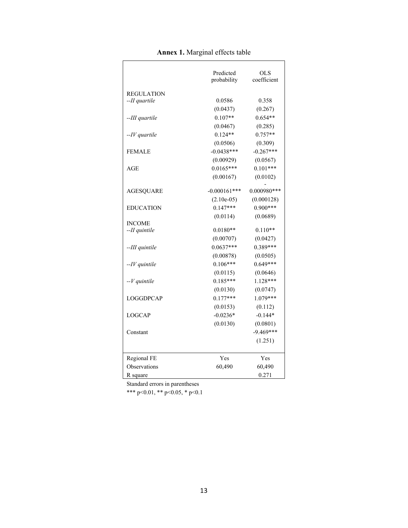|                   | Predicted<br>probability | OLS<br>coefficient |
|-------------------|--------------------------|--------------------|
| <b>REGULATION</b> |                          |                    |
| --II quartile     | 0.0586                   | 0.358              |
|                   | (0.0437)                 | (0.267)            |
| --III quartile    | $0.107**$                | $0.654**$          |
|                   | (0.0467)                 | (0.285)            |
| --IV quartile     | $0.124**$                | $0.757**$          |
|                   | (0.0506)                 | (0.309)            |
| <b>FEMALE</b>     | $-0.0438***$             | $-0.267***$        |
|                   | (0.00929)                | (0.0567)           |
| AGE               | $0.0165***$              | $0.101***$         |
|                   | (0.00167)                | (0.0102)           |
|                   |                          |                    |
| <b>AGESQUARE</b>  | $-0.000161***$           | $0.000980***$      |
|                   | $(2.10e-05)$             | (0.000128)         |
| <b>EDUCATION</b>  | $0.147***$               | $0.900***$         |
| <b>INCOME</b>     | (0.0114)                 | (0.0689)           |
| --II quintile     | $0.0180**$               | $0.110**$          |
|                   | (0.00707)                | (0.0427)           |
| --III quintile    | $0.0637***$              | 0.389***           |
|                   | (0.00878)                | (0.0505)           |
| --IV quintile     | $0.106***$               | $0.649***$         |
|                   | (0.0115)                 | (0.0646)           |
| $-V$ quintile     | $0.185***$               | $1.128***$         |
|                   | (0.0130)                 | (0.0747)           |
| <b>LOGGDPCAP</b>  | $0.177***$               | 1.079***           |
|                   | (0.0153)                 | (0.112)            |
| <b>LOGCAP</b>     | $-0.0236*$               | $-0.144*$          |
|                   | (0.0130)                 | (0.0801)           |
| Constant          |                          | $-9.469***$        |
|                   |                          | (1.251)            |
| Regional FE       | Yes                      | Yes                |
| Observations      | 60,490                   | 60,490             |
| R square          |                          | 0.271              |

#### **Annex 1.** Marginal effects table

Standard errors in parentheses

\*\*\* p<0.01, \*\* p<0.05, \* p<0.1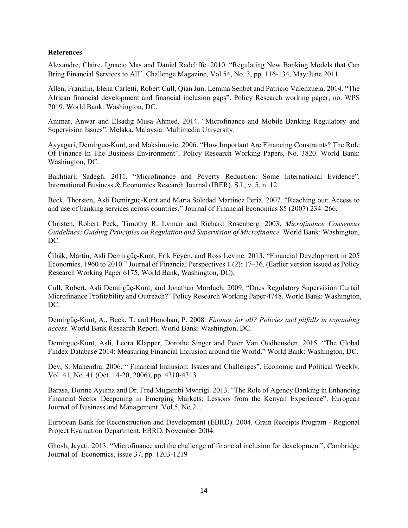#### **References**

Alexandre, Claire, Ignacio Mas and Daniel Radcliffe. 2010. "Regulating New Banking Models that Can Bring Financial Services to All". Challenge Magazine, Vol 54, No. 3, pp. 116-134, May/June 2011.

Allen, Franklin, Elena Carletti, Robert Cull, Qian Jun, Lemma Senbet and Patricio Valenzuela. 2014. "The African financial development and financial inclusion gaps". Policy Research working paper; no. WPS 7019. World Bank: Washington, DC.

Ammar, Anwar and Elsadig Musa Ahmed. 2014. "Microfinance and Mobile Banking Regulatory and Supervision Issues". Melaka, Malaysia: Multimedia University.

Ayyagari, Demirguc-Kunt, and Maksimovic. 2006. "How Important Are Financing Constraints? The Role Of Finance In The Business Environment". Policy Research Working Papers, No. 3820. World Bank: Washington, DC.

Bakhtiari, Sadegh. 2011. "Microfinance and Poverty Reduction: Some International Evidence". International Business & Economics Research Journal (IBER). S.l., v. 5, n. 12.

Beck, Thorsten, Asli Demirgüç-Kunt and Maria Soledad Martinez Peria. 2007. "Reaching out: Access to and use of banking services across countries." Journal of Financial Economics 85 (2007) 234–266.

Christen, Robert Peck, Timothy R. Lyman and Richard Rosenberg. 2003. *Microfinance Consensus Guidelines: Guiding Principles on Regulation and Supervision of Microfinance.* World Bank: Washington, DC.

Čihák, Martin, Asli Demirgüç-Kunt, Erik Feyen, and Ross Levine. 2013. "Financial Development in 205 Economies, 1960 to 2010." Journal of Financial Perspectives 1 (2): 17–36. (Earlier version issued as Policy Research Working Paper 6175, World Bank, Washington, DC).

Cull, Robert, Asli Demirgüç-Kunt, and Jonathan Morduch. 2009. "Does Regulatory Supervision Curtail Microfinance Profitability and Outreach?" Policy Research Working Paper 4748. World Bank: Washington, DC.

Demirgüç-Kunt, A., Beck, T. and Honohan, P. 2008. *Finance for all? Policies and pitfalls in expanding access*. World Bank Research Report. World Bank: Washington, DC.

Demirguc-Kunt, Asli, Leora Klapper, Dorothe Singer and Peter Van Oudheusden. 2015. "The Global Findex Database 2014: Measuring Financial Inclusion around the World." World Bank: Washington, DC.

Dev, S. Mahendra. 2006. " Financial Inclusion: Issues and Challenges". Economic and Political Weekly. Vol. 41, No. 41 (Oct. 14-20, 2006), pp. 4310-4313

Barasa, Dorine Ayuma and Dr. Fred Mugambi Mwirigi. 2013. "The Role of Agency Banking in Enhancing Financial Sector Deepening in Emerging Markets: Lessons from the Kenyan Experience". European Journal of Business and Management. Vol.5, No.21.

European Bank for Reconstruction and Development (EBRD). 2004. Grain Receipts Program - Regional Project Evaluation Department, EBRD, November 2004.

Ghosh, Jayati. 2013. "Microfinance and the challenge of financial inclusion for development", Cambridge Journal of Economics, issue 37, pp. 1203-1219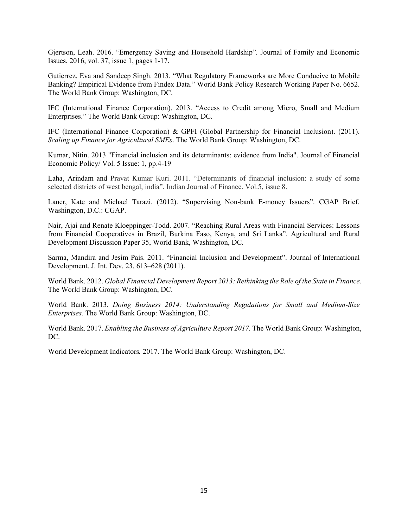Gjertson, Leah. 2016. "Emergency Saving and Household Hardship". Journal of Family and Economic Issues, 2016, vol. 37, issue 1, pages 1-17.

Gutierrez, Eva and Sandeep Singh. 2013. "What Regulatory Frameworks are More Conducive to Mobile Banking? Empirical Evidence from Findex Data." World Bank Policy Research Working Paper No. 6652. The World Bank Group: Washington, DC.

IFC (International Finance Corporation). 2013. "Access to Credit among Micro, Small and Medium Enterprises." The World Bank Group: Washington, DC.

IFC (International Finance Corporation) & GPFI (Global Partnership for Financial Inclusion). (2011). *Scaling up Finance for Agricultural SMEs*. The World Bank Group: Washington, DC.

Kumar, Nitin. 2013 "Financial inclusion and its determinants: evidence from India". Journal of Financial Economic Policy/ Vol. 5 Issue: 1, pp.4-19

Laha, Arindam and Pravat Kumar Kuri. 2011. "Determinants of financial inclusion: a study of some selected districts of west bengal, india". Indian Journal of Finance. Vol.5, issue 8.

Lauer, Kate and Michael Tarazi. (2012). "Supervising Non-bank E-money Issuers". CGAP Brief. Washington, D.C.: CGAP.

Nair, Ajai and Renate Kloeppinger-Todd. 2007. "Reaching Rural Areas with Financial Services: Lessons from Financial Cooperatives in Brazil, Burkina Faso, Kenya, and Sri Lanka". Agricultural and Rural Development Discussion Paper 35, World Bank, Washington, DC.

Sarma, Mandira and Jesim Pais. 2011. "Financial Inclusion and Development". Journal of International Development. J. Int. Dev. 23, 613–628 (2011).

World Bank. 2012. *Global Financial Development Report 2013: Rethinking the Role of the State in Finance*. The World Bank Group: Washington, DC.

World Bank. 2013. *Doing Business 2014: Understanding Regulations for Small and Medium-Size Enterprises.* The World Bank Group: Washington, DC.

World Bank. 2017. *Enabling the Business of Agriculture Report 2017.* The World Bank Group: Washington, DC.

World Development Indicators*.* 2017. The World Bank Group: Washington, DC.